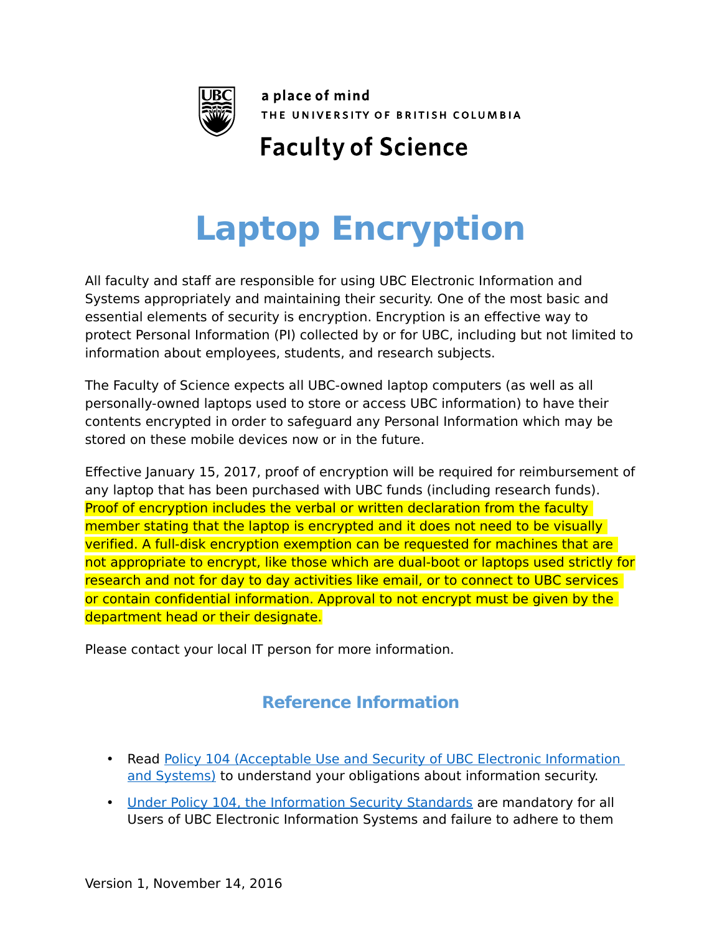

a place of mind THE UNIVERSITY OF BRITISH COLUMBIA

## **Faculty of Science**

## **Laptop Encryption**

All faculty and staff are responsible for using UBC Electronic Information and Systems appropriately and maintaining their security. One of the most basic and essential elements of security is encryption. Encryption is an effective way to protect Personal Information (PI) collected by or for UBC, including but not limited to information about employees, students, and research subjects.

The Faculty of Science expects all UBC-owned laptop computers (as well as all personally-owned laptops used to store or access UBC information) to have their contents encrypted in order to safeguard any Personal Information which may be stored on these mobile devices now or in the future.

Effective January 15, 2017, proof of encryption will be required for reimbursement of any laptop that has been purchased with UBC funds (including research funds). Proof of encryption includes the verbal or written declaration from the faculty member stating that the laptop is encrypted and it does not need to be visually verified. A full-disk encryption exemption can be requested for machines that are not appropriate to encrypt, like those which are dual-boot or laptops used strictly for research and not for day to day activities like email, or to connect to UBC services or contain confidential information. Approval to not encrypt must be given by the department head or their designate.

Please contact your local IT person for more information.

## **Reference Information**

- Read [Policy 104 \(Acceptable Use and Security of UBC Electronic Information](http://universitycounsel.ubc.ca/files/2013/06/policy104.pdf)  [and Systems\)](http://universitycounsel.ubc.ca/files/2013/06/policy104.pdf) to understand your obligations about information security.
- • [Under Policy 104, the Information Security Standards](http://cio.ubc.ca/security-standards-home/information-security-policy-standards-and-resources) are mandatory for all Users of UBC Electronic Information Systems and failure to adhere to them